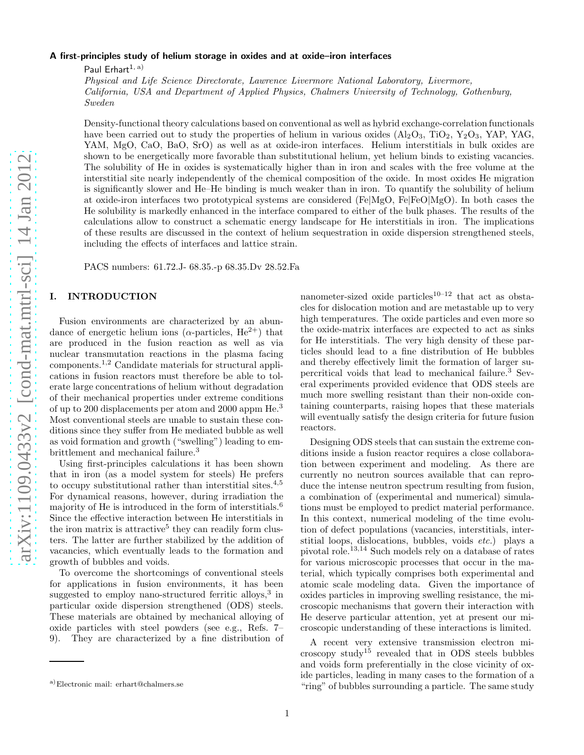# A first-principles study of helium storage in oxides and at oxide–iron interfaces

Paul Erhart $1, a$ )

Physical and Life Science Directorate, Lawrence Livermore National Laboratory, Livermore, California, USA and Department of Applied Physics, Chalmers University of Technology, Gothenburg, Sweden

Density-functional theory calculations based on conventional as well as hybrid exchange-correlation functionals have been carried out to study the properties of helium in various oxides  $(A_2O_3, TiO_2, Y_2O_3, YAP, YAG, Y_3O_4)$ YAM, MgO, CaO, BaO, SrO) as well as at oxide-iron interfaces. Helium interstitials in bulk oxides are shown to be energetically more favorable than substitutional helium, yet helium binds to existing vacancies. The solubility of He in oxides is systematically higher than in iron and scales with the free volume at the interstitial site nearly independently of the chemical composition of the oxide. In most oxides He migration is significantly slower and He–He binding is much weaker than in iron. To quantify the solubility of helium at oxide-iron interfaces two prototypical systems are considered (Fe|MgO, Fe|FeO|MgO). In both cases the He solubility is markedly enhanced in the interface compared to either of the bulk phases. The results of the calculations allow to construct a schematic energy landscape for He interstitials in iron. The implications of these results are discussed in the context of helium sequestration in oxide dispersion strengthened steels, including the effects of interfaces and lattice strain.

PACS numbers: 61.72.J- 68.35.-p 68.35.Dv 28.52.Fa

# I. INTRODUCTION

Fusion environments are characterized by an abundance of energetic helium ions ( $\alpha$ -particles, He<sup>2+</sup>) that are produced in the fusion reaction as well as via nuclear transmutation reactions in the plasma facing components.1,2 Candidate materials for structural applications in fusion reactors must therefore be able to tolerate large concentrations of helium without degradation of their mechanical properties under extreme conditions of up to 200 displacements per atom and 2000 appm He.<sup>3</sup> Most conventional steels are unable to sustain these conditions since they suffer from He mediated bubble as well as void formation and growth ("swelling") leading to embrittlement and mechanical failure.<sup>3</sup>

Using first-principles calculations it has been shown that in iron (as a model system for steels) He prefers to occupy substitutional rather than interstitial sites.<sup>4,5</sup> For dynamical reasons, however, during irradiation the majority of He is introduced in the form of interstitials.<sup>6</sup> Since the effective interaction between He interstitials in the iron matrix is attractive<sup>5</sup> they can readily form clusters. The latter are further stabilized by the addition of vacancies, which eventually leads to the formation and growth of bubbles and voids.

To overcome the shortcomings of conventional steels for applications in fusion environments, it has been suggested to employ nano-structured ferritic alloys,<sup>3</sup> in particular oxide dispersion strengthened (ODS) steels. These materials are obtained by mechanical alloying of oxide particles with steel powders (see e.g., Refs. 7– 9). They are characterized by a fine distribution of nanometer-sized oxide particles<sup>10–12</sup> that act as obstacles for dislocation motion and are metastable up to very high temperatures. The oxide particles and even more so the oxide-matrix interfaces are expected to act as sinks for He interstitials. The very high density of these particles should lead to a fine distribution of He bubbles and thereby effectively limit the formation of larger supercritical voids that lead to mechanical failure.<sup>3</sup> Several experiments provided evidence that ODS steels are much more swelling resistant than their non-oxide containing counterparts, raising hopes that these materials will eventually satisfy the design criteria for future fusion reactors.

Designing ODS steels that can sustain the extreme conditions inside a fusion reactor requires a close collaboration between experiment and modeling. As there are currently no neutron sources available that can reproduce the intense neutron spectrum resulting from fusion, a combination of (experimental and numerical) simulations must be employed to predict material performance. In this context, numerical modeling of the time evolution of defect populations (vacancies, interstitials, interstitial loops, dislocations, bubbles, voids etc.) plays a pivotal role.13,14 Such models rely on a database of rates for various microscopic processes that occur in the material, which typically comprises both experimental and atomic scale modeling data. Given the importance of oxides particles in improving swelling resistance, the microscopic mechanisms that govern their interaction with He deserve particular attention, yet at present our microscopic understanding of these interactions is limited.

A recent very extensive transmission electron microscopy study<sup>15</sup> revealed that in ODS steels bubbles and voids form preferentially in the close vicinity of oxide particles, leading in many cases to the formation of a "ring" of bubbles surrounding a particle. The same study

a)Electronic mail: erhart@chalmers.se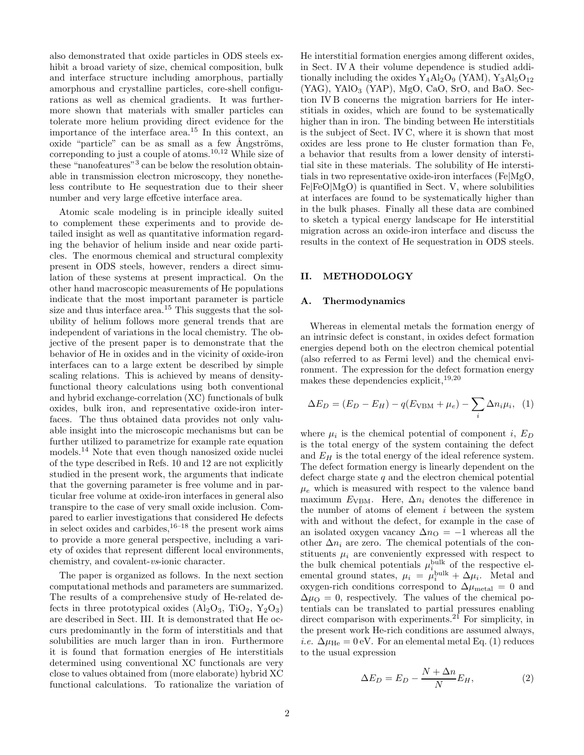also demonstrated that oxide particles in ODS steels exhibit a broad variety of size, chemical composition, bulk and interface structure including amorphous, partially amorphous and crystalline particles, core-shell configurations as well as chemical gradients. It was furthermore shown that materials with smaller particles can tolerate more helium providing direct evidence for the importance of the interface area.<sup>15</sup> In this context, an oxide "particle" can be as small as a few  $\AA$ ngströms, correponding to just a couple of atoms.10,12 While size of these "nanofeatures"<sup>3</sup> can be below the resolution obtainable in transmission electron microscopy, they nonetheless contribute to He sequestration due to their sheer number and very large effcetive interface area.

Atomic scale modeling is in principle ideally suited to complement these experiments and to provide detailed insight as well as quantitative information regarding the behavior of helium inside and near oxide particles. The enormous chemical and structural complexity present in ODS steels, however, renders a direct simulation of these systems at present impractical. On the other hand macroscopic measurements of He populations indicate that the most important parameter is particle size and thus interface area.<sup>15</sup> This suggests that the solubility of helium follows more general trends that are independent of variations in the local chemistry. The objective of the present paper is to demonstrate that the behavior of He in oxides and in the vicinity of oxide-iron interfaces can to a large extent be described by simple scaling relations. This is achieved by means of densityfunctional theory calculations using both conventional and hybrid exchange-correlation (XC) functionals of bulk oxides, bulk iron, and representative oxide-iron interfaces. The thus obtained data provides not only valuable insight into the microscopic mechanisms but can be further utilized to parametrize for example rate equation models.<sup>14</sup> Note that even though nanosized oxide nuclei of the type described in Refs. 10 and 12 are not explicitly studied in the present work, the arguments that indicate that the governing parameter is free volume and in particular free volume at oxide-iron interfaces in general also transpire to the case of very small oxide inclusion. Compared to earlier investigations that considered He defects in select oxides and carbides, $16^{-18}$  the present work aims to provide a more general perspective, including a variety of oxides that represent different local environments, chemistry, and covalent-vs-ionic character.

The paper is organized as follows. In the next section computational methods and parameters are summarized. The results of a comprehensive study of He-related defects in three prototypical oxides  $(Al_2O_3, TiO_2, Y_2O_3)$ are described in Sect. III. It is demonstrated that He occurs predominantly in the form of interstitials and that solubilities are much larger than in iron. Furthermore it is found that formation energies of He interstitials determined using conventional XC functionals are very close to values obtained from (more elaborate) hybrid XC functional calculations. To rationalize the variation of He interstitial formation energies among different oxides, in Sect. IV A their volume dependence is studied additionally including the oxides  $Y_4Al_2O_9$  (YAM),  $Y_3Al_5O_{12}$  $(YAG)$ , YAlO<sub>3</sub>  $(YAP)$ , MgO, CaO, SrO, and BaO. Section IV B concerns the migration barriers for He interstitials in oxides, which are found to be systematically higher than in iron. The binding between He interstitials is the subject of Sect. IV C, where it is shown that most oxides are less prone to He cluster formation than Fe, a behavior that results from a lower density of interstitial site in these materials. The solubility of He interstitials in two representative oxide-iron interfaces (Fe|MgO,  $Fe|FeO|MgO$  is quantified in Sect. V, where solubilities at interfaces are found to be systematically higher than in the bulk phases. Finally all these data are combined to sketch a typical energy landscape for He interstitial migration across an oxide-iron interface and discuss the results in the context of He sequestration in ODS steels.

## II. METHODOLOGY

#### A. Thermodynamics

Whereas in elemental metals the formation energy of an intrinsic defect is constant, in oxides defect formation energies depend both on the electron chemical potential (also referred to as Fermi level) and the chemical environment. The expression for the defect formation energy makes these dependencies explicit,  $^{19,20}$ 

$$
\Delta E_D = (E_D - E_H) - q(E_{\text{VBM}} + \mu_e) - \sum_i \Delta n_i \mu_i, \quad (1)
$$

where  $\mu_i$  is the chemical potential of component *i*,  $E_D$ is the total energy of the system containing the defect and  $E_H$  is the total energy of the ideal reference system. The defect formation energy is linearly dependent on the defect charge state  $q$  and the electron chemical potential  $\mu_e$  which is measured with respect to the valence band maximum  $E_{\text{VBM}}$ . Here,  $\Delta n_i$  denotes the difference in the number of atoms of element i between the system with and without the defect, for example in the case of an isolated oxygen vacancy  $\Delta n_{\rm O} = -1$  whereas all the other  $\Delta n_i$  are zero. The chemical potentials of the constituents  $\mu_i$  are conveniently expressed with respect to the bulk chemical potentials  $\mu_i^{\text{bulk}}$  of the respective elemental ground states,  $\mu_i = \mu_i^{\text{bulk}} + \Delta \mu_i$ . Metal and oxygen-rich conditions correspond to  $\Delta\mu_{\rm metal}$  = 0 and  $\Delta\mu_{\rm O}=0$ , respectively. The values of the chemical potentials can be translated to partial pressures enabling direct comparison with experiments.<sup>21</sup> For simplicity, in the present work He-rich conditions are assumed always, i.e.  $\Delta \mu_{\text{He}} = 0 \text{ eV}$ . For an elemental metal Eq. (1) reduces to the usual expression

$$
\Delta E_D = E_D - \frac{N + \Delta n}{N} E_H,\tag{2}
$$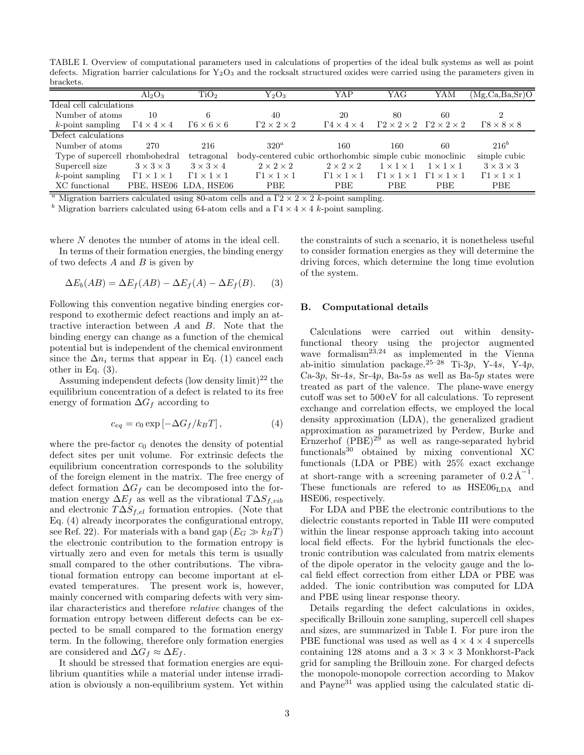TABLE I. Overview of computational parameters used in calculations of properties of the ideal bulk systems as well as point defects. Migration barrier calculations for  $Y_2O_3$  and the rocksalt structured oxides were carried using the parameters given in brackets.

|                                | $Al_2O_3$                        | TiO <sub>2</sub>                 | ${\rm Y_2O_3}$                                           | YAP                              | YAG                                                       | YAM                              | $(Mg, Ca, Ba, Sr)$ O             |
|--------------------------------|----------------------------------|----------------------------------|----------------------------------------------------------|----------------------------------|-----------------------------------------------------------|----------------------------------|----------------------------------|
| Ideal cell calculations        |                                  |                                  |                                                          |                                  |                                                           |                                  |                                  |
| Number of atoms                | 10                               | 6                                | 40                                                       | 20                               | 80                                                        | 60                               |                                  |
| $k$ -point sampling            | $\Gamma 4 \times 4 \times 4$     | $\Gamma 6 \times 6 \times 6$     | $\Gamma 2 \times 2 \times 2$                             | $\Gamma 4 \times 4 \times 4$     | $\Gamma 2 \times 2 \times 2$ $\Gamma 2 \times 2 \times 2$ |                                  | $\Gamma$ 8 $\times$ 8 $\times$ 8 |
| Defect calculations            |                                  |                                  |                                                          |                                  |                                                           |                                  |                                  |
| Number of atoms                | 270                              | 216                              | $320^a$                                                  | 160                              | 160                                                       | 60                               | $216^b$                          |
| Type of supercell rhombohedral |                                  | tetragonal                       | body-centered cubic orthorhombic simple cubic monoclinic |                                  |                                                           |                                  | simple cubic                     |
| Supercell size                 | $3 \times 3 \times 3$            | $3 \times 3 \times 4$            | $2 \times 2 \times 2$                                    | $2 \times 2 \times 2$            | $1 \times 1 \times 1$                                     | $1 \times 1 \times 1$            | $3 \times 3 \times 3$            |
| $k$ -point sampling            | $\Gamma$ 1 $\times$ 1 $\times$ 1 | $\Gamma$ 1 $\times$ 1 $\times$ 1 | $\Gamma$ 1 $\times$ 1 $\times$ 1                         | $\Gamma$ 1 $\times$ 1 $\times$ 1 | $\Gamma$ 1 $\times$ 1 $\times$ 1                          | $\Gamma$ 1 $\times$ 1 $\times$ 1 | $\Gamma$ 1 $\times$ 1 $\times$ 1 |
| XC functional                  |                                  | PBE, HSE06 LDA, HSE06            | PBE                                                      | PBE                              | <b>PBE</b>                                                | <b>PBE</b>                       | PBE                              |
|                                | .                                |                                  | .                                                        |                                  |                                                           |                                  |                                  |

<sup>a</sup> Migration barriers calculated using 80-atom cells and a  $\Gamma$ 2 × 2  $\times$  2 k-point sampling.

<sup>b</sup> Migration barriers calculated using 64-atom cells and a  $\Gamma$ 4 × 4 × 4 k-point sampling.

where  $N$  denotes the number of atoms in the ideal cell.

In terms of their formation energies, the binding energy of two defects  $A$  and  $B$  is given by

$$
\Delta E_b(AB) = \Delta E_f(AB) - \Delta E_f(A) - \Delta E_f(B). \tag{3}
$$

Following this convention negative binding energies correspond to exothermic defect reactions and imply an attractive interaction between A and B. Note that the binding energy can change as a function of the chemical potential but is independent of the chemical environment since the  $\Delta n_i$  terms that appear in Eq. (1) cancel each other in Eq. (3).

Assuming independent defects (low density limit)<sup>22</sup> the equilibrium concentration of a defect is related to its free energy of formation  $\Delta G_f$  according to

$$
c_{eq} = c_0 \exp\left[-\Delta G_f / k_B T\right],\tag{4}
$$

where the pre-factor  $c_0$  denotes the density of potential defect sites per unit volume. For extrinsic defects the equilibrium concentration corresponds to the solubility of the foreign element in the matrix. The free energy of defect formation  $\Delta G_f$  can be decomposed into the formation energy  $\Delta E_f$  as well as the vibrational  $T\Delta S_{f,vib}$ and electronic  $T\Delta S_{f,el}$  formation entropies. (Note that Eq. (4) already incorporates the configurational entropy, see Ref. 22). For materials with a band gap  $(E_G \gg k_BT)$ the electronic contribution to the formation entropy is virtually zero and even for metals this term is usually small compared to the other contributions. The vibrational formation entropy can become important at elevated temperatures. The present work is, however, mainly concerned with comparing defects with very similar characteristics and therefore relative changes of the formation entropy between different defects can be expected to be small compared to the formation energy term. In the following, therefore only formation energies are considered and  $\Delta G_f \approx \Delta E_f$ .

It should be stressed that formation energies are equilibrium quantities while a material under intense irradiation is obviously a non-equilibrium system. Yet within the constraints of such a scenario, it is nonetheless useful to consider formation energies as they will determine the driving forces, which determine the long time evolution of the system.

#### B. Computational details

Calculations were carried out within densityfunctional theory using the projector augmented wave formalism<sup>23,24</sup> as implemented in the Vienna ab-initio simulation package.<sup>25–28</sup> Ti-3p, Y-4s, Y-4p, Ca-3p, Sr-4s, Sr-4p, Ba-5s as well as Ba-5p states were treated as part of the valence. The plane-wave energy cutoff was set to 500 eV for all calculations. To represent exchange and correlation effects, we employed the local density approximation (LDA), the generalized gradient approximation as parametrized by Perdew, Burke and Ernzerhof  $(PBE)^{29}$  as well as range-separated hybrid functionals $30$  obtained by mixing conventional XC functionals (LDA or PBE) with 25% exact exchange at short-range with a screening parameter of  $0.2 \text{ Å}^{-1}$ . These functionals are refered to as  $HSE06<sub>LDA</sub>$  and HSE06, respectively.

For LDA and PBE the electronic contributions to the dielectric constants reported in Table III were computed within the linear response approach taking into account local field effects. For the hybrid functionals the electronic contribution was calculated from matrix elements of the dipole operator in the velocity gauge and the local field effect correction from either LDA or PBE was added. The ionic contribution was computed for LDA and PBE using linear response theory.

Details regarding the defect calculations in oxides, specifically Brillouin zone sampling, supercell cell shapes and sizes, are summarized in Table I. For pure iron the PBE functional was used as well as  $4 \times 4 \times 4$  supercells containing 128 atoms and a  $3 \times 3 \times 3$  Monkhorst-Pack grid for sampling the Brillouin zone. For charged defects the monopole-monopole correction according to Makov and Payne<sup>31</sup> was applied using the calculated static di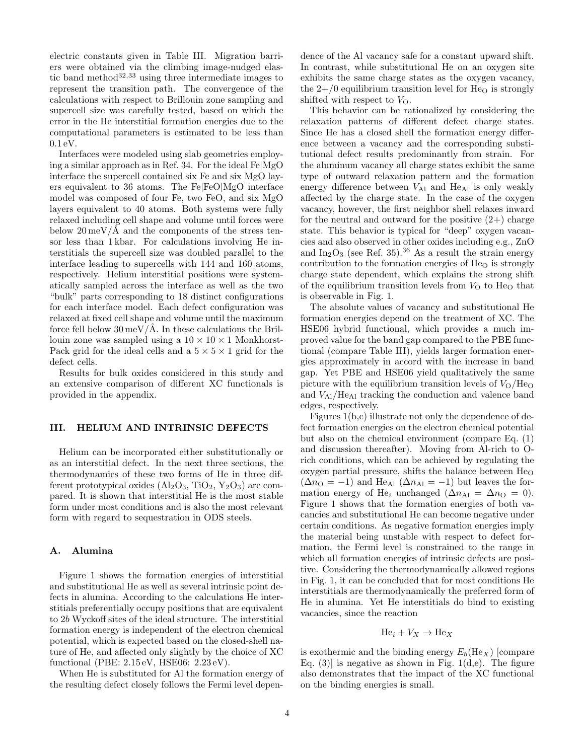electric constants given in Table III. Migration barriers were obtained via the climbing image-nudged elastic band method $32,33$  using three intermediate images to represent the transition path. The convergence of the calculations with respect to Brillouin zone sampling and supercell size was carefully tested, based on which the error in the He interstitial formation energies due to the computational parameters is estimated to be less than 0.1 eV.

Interfaces were modeled using slab geometries employing a similar approach as in Ref. 34. For the ideal Fe|MgO interface the supercell contained six Fe and six MgO layers equivalent to 36 atoms. The Fe|FeO|MgO interface model was composed of four Fe, two FeO, and six MgO layers equivalent to 40 atoms. Both systems were fully relaxed including cell shape and volume until forces were below  $20 \,\mathrm{meV}/\text{\AA}$  and the components of the stress tensor less than 1 kbar. For calculations involving He interstitials the supercell size was doubled parallel to the interface leading to supercells with 144 and 160 atoms, respectively. Helium interstitial positions were systematically sampled across the interface as well as the two "bulk" parts corresponding to 18 distinct configurations for each interface model. Each defect configuration was relaxed at fixed cell shape and volume until the maximum force fell below  $30 \,\mathrm{meV}/\mathrm{\AA}$ . In these calculations the Brillouin zone was sampled using a  $10 \times 10 \times 1$  Monkhorst-Pack grid for the ideal cells and a  $5 \times 5 \times 1$  grid for the defect cells.

Results for bulk oxides considered in this study and an extensive comparison of different XC functionals is provided in the appendix.

## III. HELIUM AND INTRINSIC DEFECTS

Helium can be incorporated either substitutionally or as an interstitial defect. In the next three sections, the thermodynamics of these two forms of He in three different prototypical oxides  $(Al_2O_3, TiO_2, Y_2O_3)$  are compared. It is shown that interstitial He is the most stable form under most conditions and is also the most relevant form with regard to sequestration in ODS steels.

# A. Alumina

Figure 1 shows the formation energies of interstitial and substitutional He as well as several intrinsic point defects in alumina. According to the calculations He interstitials preferentially occupy positions that are equivalent to 2b Wyckoff sites of the ideal structure. The interstitial formation energy is independent of the electron chemical potential, which is expected based on the closed-shell nature of He, and affected only slightly by the choice of XC functional (PBE: 2.15 eV, HSE06: 2.23 eV).

When He is substituted for Al the formation energy of the resulting defect closely follows the Fermi level dependence of the Al vacancy safe for a constant upward shift. In contrast, while substitutional He on an oxygen site exhibits the same charge states as the oxygen vacancy, the  $2+/0$  equilibrium transition level for He<sub>O</sub> is strongly shifted with respect to  $V_{\Omega}$ .

This behavior can be rationalized by considering the relaxation patterns of different defect charge states. Since He has a closed shell the formation energy difference between a vacancy and the corresponding substitutional defect results predominantly from strain. For the aluminum vacancy all charge states exhibit the same type of outward relaxation pattern and the formation energy difference between  $V_{\text{Al}}$  and  $\text{He}_{\text{Al}}$  is only weakly affected by the charge state. In the case of the oxygen vacancy, however, the first neighbor shell relaxes inward for the neutral and outward for the positive  $(2+)$  charge state. This behavior is typical for "deep" oxygen vacancies and also observed in other oxides including e.g., ZnO and  $In_2O_3$  (see Ref. 35).<sup>36</sup> As a result the strain energy contribution to the formation energies of  $He<sub>O</sub>$  is strongly charge state dependent, which explains the strong shift of the equilibrium transition levels from  $V_{\Omega}$  to He<sub>O</sub> that is observable in Fig. 1.

The absolute values of vacancy and substitutional He formation energies depend on the treatment of XC. The HSE06 hybrid functional, which provides a much improved value for the band gap compared to the PBE functional (compare Table III), yields larger formation energies approximately in accord with the increase in band gap. Yet PBE and HSE06 yield qualitatively the same picture with the equilibrium transition levels of  $V_{\rm O}/{\rm He_{O}}$ and VAl/HeAl tracking the conduction and valence band edges, respectively.

Figures 1(b,c) illustrate not only the dependence of defect formation energies on the electron chemical potential but also on the chemical environment (compare Eq. (1) and discussion thereafter). Moving from Al-rich to Orich conditions, which can be achieved by regulating the oxygen partial pressure, shifts the balance between He<sup>O</sup>  $(\Delta n_{\rm O} = -1)$  and He<sub>Al</sub>  $(\Delta n_{\rm Al} = -1)$  but leaves the formation energy of He<sub>i</sub> unchanged ( $\Delta n_{\text{Al}} = \Delta n_{\text{O}} = 0$ ). Figure 1 shows that the formation energies of both vacancies and substitutional He can become negative under certain conditions. As negative formation energies imply the material being unstable with respect to defect formation, the Fermi level is constrained to the range in which all formation energies of intrinsic defects are positive. Considering the thermodynamically allowed regions in Fig. 1, it can be concluded that for most conditions He interstitials are thermodynamically the preferred form of He in alumina. Yet He interstitials do bind to existing vacancies, since the reaction

$$
He_i + V_X \to He_X
$$

is exothermic and the binding energy  $E_b(H_{ex})$  [compare Eq.  $(3)$  is negative as shown in Fig. 1(d,e). The figure also demonstrates that the impact of the XC functional on the binding energies is small.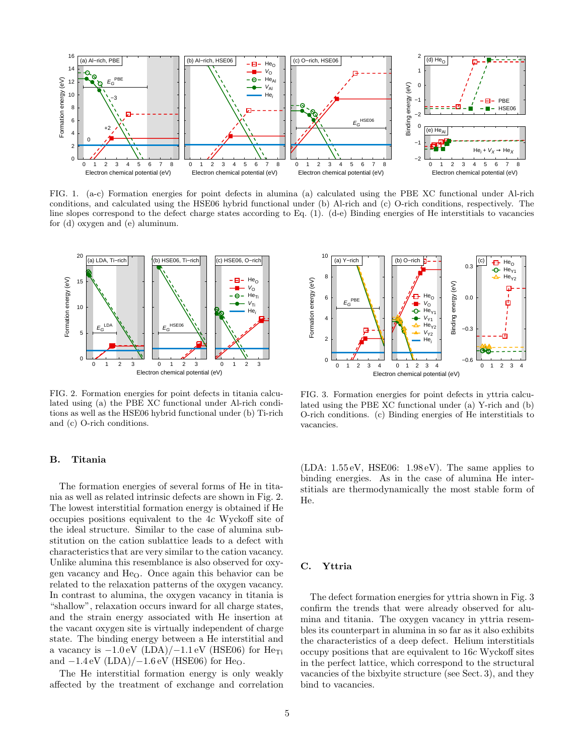

FIG. 1. (a-c) Formation energies for point defects in alumina (a) calculated using the PBE XC functional under Al-rich conditions, and calculated using the HSE06 hybrid functional under (b) Al-rich and (c) O-rich conditions, respectively. The line slopes correspond to the defect charge states according to Eq. (1). (d-e) Binding energies of He interstitials to vacancies for (d) oxygen and (e) aluminum.



FIG. 2. Formation energies for point defects in titania calculated using (a) the PBE XC functional under Al-rich conditions as well as the HSE06 hybrid functional under (b) Ti-rich and (c) O-rich conditions.

## B. Titania

The formation energies of several forms of He in titania as well as related intrinsic defects are shown in Fig. 2. The lowest interstitial formation energy is obtained if He occupies positions equivalent to the 4c Wyckoff site of the ideal structure. Similar to the case of alumina substitution on the cation sublattice leads to a defect with characteristics that are very similar to the cation vacancy. Unlike alumina this resemblance is also observed for oxygen vacancy and  $He<sub>O</sub>$ . Once again this behavior can be related to the relaxation patterns of the oxygen vacancy. In contrast to alumina, the oxygen vacancy in titania is "shallow", relaxation occurs inward for all charge states, and the strain energy associated with He insertion at the vacant oxygen site is virtually independent of charge state. The binding energy between a He interstitial and a vacancy is  $-1.0 \text{ eV}$  (LDA)/ $-1.1 \text{ eV}$  (HSE06) for He<sub>Ti</sub> and  $-1.4 \,\text{eV}$  (LDA) $/$  $-1.6 \,\text{eV}$  (HSE06) for He<sub>O</sub>.

The He interstitial formation energy is only weakly affected by the treatment of exchange and correlation



FIG. 3. Formation energies for point defects in yttria calculated using the PBE XC functional under (a) Y-rich and (b) O-rich conditions. (c) Binding energies of He interstitials to vacancies.

(LDA: 1.55 eV, HSE06: 1.98 eV). The same applies to binding energies. As in the case of alumina He interstitials are thermodynamically the most stable form of He.

## C. Yttria

The defect formation energies for yttria shown in Fig. 3 confirm the trends that were already observed for alumina and titania. The oxygen vacancy in yttria resembles its counterpart in alumina in so far as it also exhibits the characteristics of a deep defect. Helium interstitials occupy positions that are equivalent to 16c Wyckoff sites in the perfect lattice, which correspond to the structural vacancies of the bixbyite structure (see Sect. 3), and they bind to vacancies.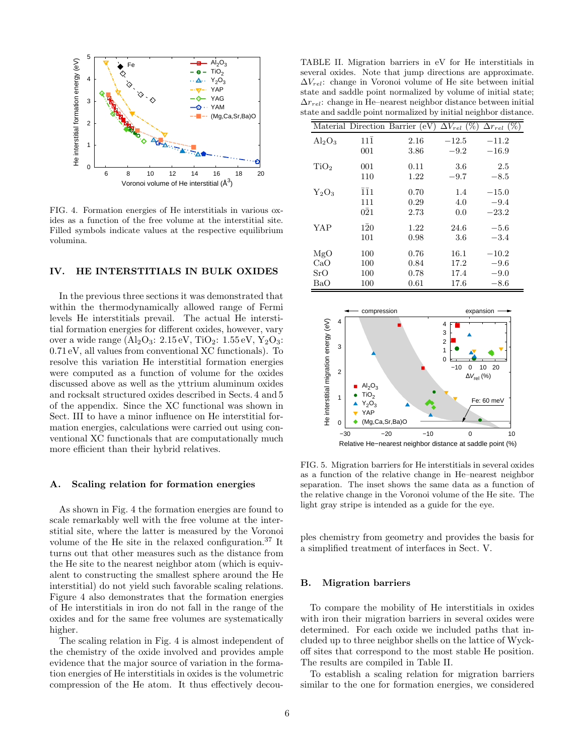

FIG. 4. Formation energies of He interstitials in various oxides as a function of the free volume at the interstitial site. Filled symbols indicate values at the respective equilibrium volumina.

## IV. HE INTERSTITIALS IN BULK OXIDES

In the previous three sections it was demonstrated that within the thermodynamically allowed range of Fermi levels He interstitials prevail. The actual He interstitial formation energies for different oxides, however, vary over a wide range  $(Al_2O_3: 2.15 \text{ eV}, TiO_2: 1.55 \text{ eV}, Y_2O_3:$ 0.71 eV, all values from conventional XC functionals). To resolve this variation He interstitial formation energies were computed as a function of volume for the oxides discussed above as well as the yttrium aluminum oxides and rocksalt structured oxides described in Sects. 4 and 5 of the appendix. Since the XC functional was shown in Sect. III to have a minor influence on He interstitial formation energies, calculations were carried out using conventional XC functionals that are computationally much more efficient than their hybrid relatives.

#### A. Scaling relation for formation energies

As shown in Fig. 4 the formation energies are found to scale remarkably well with the free volume at the interstitial site, where the latter is measured by the Voronoi volume of the He site in the relaxed configuration.<sup>37</sup> It turns out that other measures such as the distance from the He site to the nearest neighbor atom (which is equivalent to constructing the smallest sphere around the He interstitial) do not yield such favorable scaling relations. Figure 4 also demonstrates that the formation energies of He interstitials in iron do not fall in the range of the oxides and for the same free volumes are systematically higher.

The scaling relation in Fig. 4 is almost independent of the chemistry of the oxide involved and provides ample evidence that the major source of variation in the formation energies of He interstitials in oxides is the volumetric compression of the He atom. It thus effectively decou-

TABLE II. Migration barriers in eV for He interstitials in several oxides. Note that jump directions are approximate.  $\Delta V_{rel}$ : change in Voronoi volume of He site between initial state and saddle point normalized by volume of initial state;  $\Delta r_{rel}$ : change in He–nearest neighbor distance between initial state and saddle point normalized by initial neighbor distance.

|                  |                             | Material Direction Barrier (eV) | $\Delta V_{rel}$ (%) | $\Delta r_{rel}$ (%) |
|------------------|-----------------------------|---------------------------------|----------------------|----------------------|
| $Al_2O_3$        | $11\bar{1}$                 | 2.16                            | $-12.5$              | $-11.2$              |
|                  | 001                         | 3.86                            | $-9.2$               | $-16.9$              |
| TiO <sub>2</sub> | 001                         | 0.11                            | 3.6                  | 2.5                  |
|                  | 110                         | 1.22                            | $-9.7$               | $-8.5$               |
| $Y_2O_3$         | $\overline{1}\overline{1}1$ | 0.70                            | 1.4                  | $-15.0$              |
|                  | 111                         | 0.29                            | 4.0                  | $-9.4$               |
|                  | $0\bar{2}1$                 | 2.73                            | 0.0                  | $-23.2\,$            |
| YAP              | $1\bar{2}0$                 | 1.22                            | 24.6                 | $-5.6$               |
|                  | 101                         | 0.98                            | 3.6                  | $-3.4$               |
| MgO              | 100                         | 0.76                            | 16.1                 | $-10.2$              |
| CaO              | 100                         | 0.84                            | 17.2                 | $-9.6$               |
| SrO              | 100                         | 0.78                            | 17.4                 | $-9.0$               |
| BaO              | 100                         | 0.61                            | 17.6                 | $-8.6$               |



FIG. 5. Migration barriers for He interstitials in several oxides as a function of the relative change in He–nearest neighbor separation. The inset shows the same data as a function of the relative change in the Voronoi volume of the He site. The light gray stripe is intended as a guide for the eye.

ples chemistry from geometry and provides the basis for a simplified treatment of interfaces in Sect. V.

#### B. Migration barriers

To compare the mobility of He interstitials in oxides with iron their migration barriers in several oxides were determined. For each oxide we included paths that included up to three neighbor shells on the lattice of Wyckoff sites that correspond to the most stable He position. The results are compiled in Table II.

To establish a scaling relation for migration barriers similar to the one for formation energies, we considered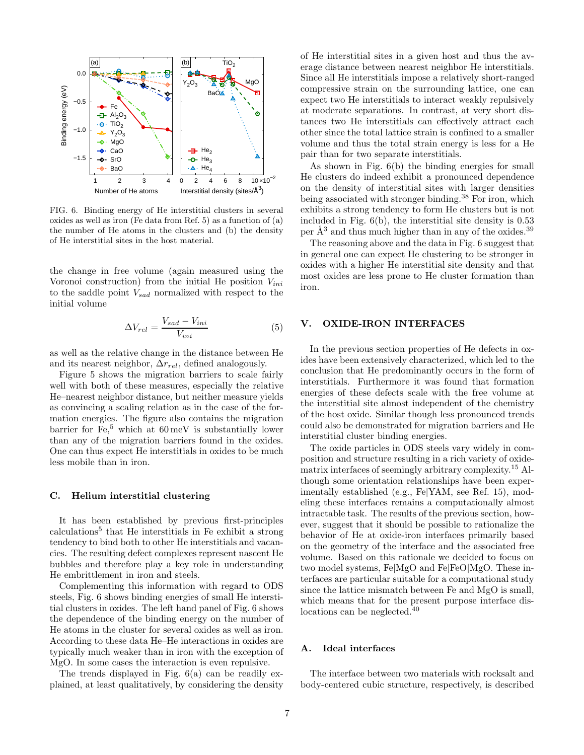

FIG. 6. Binding energy of He interstitial clusters in several oxides as well as iron (Fe data from Ref. 5) as a function of (a) the number of He atoms in the clusters and (b) the density of He interstitial sites in the host material.

the change in free volume (again measured using the Voronoi construction) from the initial He position  $V_{ini}$ to the saddle point  $V_{sad}$  normalized with respect to the initial volume

$$
\Delta V_{rel} = \frac{V_{sad} - V_{ini}}{V_{ini}}\tag{5}
$$

as well as the relative change in the distance between He and its nearest neighbor,  $\Delta r_{rel}$ , defined analogously.

Figure 5 shows the migration barriers to scale fairly well with both of these measures, especially the relative He–nearest neighbor distance, but neither measure yields as convincing a scaling relation as in the case of the formation energies. The figure also contains the migration barrier for  $Fe<sup>5</sup>$ , which at 60 meV is substantially lower than any of the migration barriers found in the oxides. One can thus expect He interstitials in oxides to be much less mobile than in iron.

# C. Helium interstitial clustering

It has been established by previous first-principles calculations<sup>5</sup> that He interstitials in Fe exhibit a strong tendency to bind both to other He interstitials and vacancies. The resulting defect complexes represent nascent He bubbles and therefore play a key role in understanding He embrittlement in iron and steels.

Complementing this information with regard to ODS steels, Fig. 6 shows binding energies of small He interstitial clusters in oxides. The left hand panel of Fig. 6 shows the dependence of the binding energy on the number of He atoms in the cluster for several oxides as well as iron. According to these data He–He interactions in oxides are typically much weaker than in iron with the exception of MgO. In some cases the interaction is even repulsive.

The trends displayed in Fig. 6(a) can be readily explained, at least qualitatively, by considering the density of He interstitial sites in a given host and thus the average distance between nearest neighbor He interstitials. Since all He interstitials impose a relatively short-ranged compressive strain on the surrounding lattice, one can expect two He interstitials to interact weakly repulsively at moderate separations. In contrast, at very short distances two He interstitials can effectively attract each other since the total lattice strain is confined to a smaller volume and thus the total strain energy is less for a He pair than for two separate interstitials.

As shown in Fig. 6(b) the binding energies for small He clusters do indeed exhibit a pronounced dependence on the density of interstitial sites with larger densities being associated with stronger binding.<sup>38</sup> For iron, which exhibits a strong tendency to form He clusters but is not included in Fig. 6(b), the interstitial site density is 0.53 per  $\AA^3$  and thus much higher than in any of the oxides.<sup>39</sup>

The reasoning above and the data in Fig. 6 suggest that in general one can expect He clustering to be stronger in oxides with a higher He interstitial site density and that most oxides are less prone to He cluster formation than iron.

## V. OXIDE-IRON INTERFACES

In the previous section properties of He defects in oxides have been extensively characterized, which led to the conclusion that He predominantly occurs in the form of interstitials. Furthermore it was found that formation energies of these defects scale with the free volume at the interstitial site almost independent of the chemistry of the host oxide. Similar though less pronounced trends could also be demonstrated for migration barriers and He interstitial cluster binding energies.

The oxide particles in ODS steels vary widely in composition and structure resulting in a rich variety of oxidematrix interfaces of seemingly arbitrary complexity.<sup>15</sup> Although some orientation relationships have been experimentally established (e.g., Fe|YAM, see Ref. 15), modeling these interfaces remains a computationally almost intractable task. The results of the previous section, however, suggest that it should be possible to rationalize the behavior of He at oxide-iron interfaces primarily based on the geometry of the interface and the associated free volume. Based on this rationale we decided to focus on two model systems, Fe|MgO and Fe|FeO|MgO. These interfaces are particular suitable for a computational study since the lattice mismatch between Fe and MgO is small, which means that for the present purpose interface dislocations can be neglected.<sup>40</sup>

## A. Ideal interfaces

The interface between two materials with rocksalt and body-centered cubic structure, respectively, is described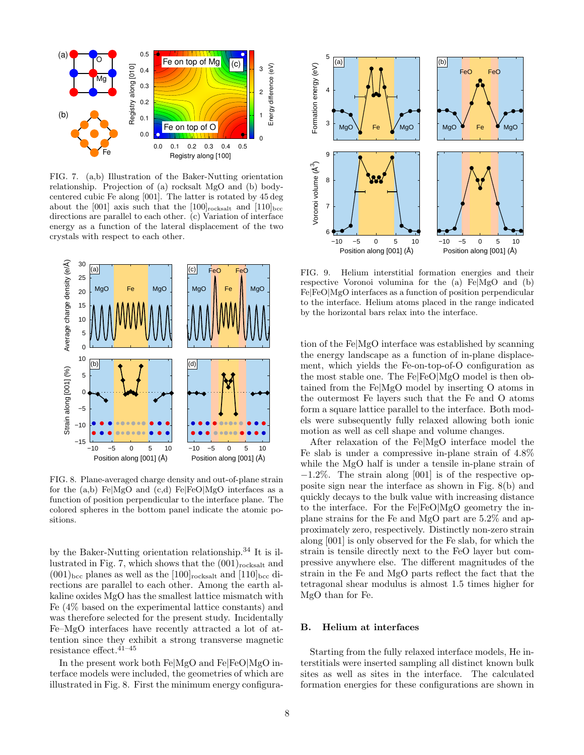

FIG. 7. (a,b) Illustration of the Baker-Nutting orientation relationship. Projection of (a) rocksalt MgO and (b) bodycentered cubic Fe along [001]. The latter is rotated by 45 deg about the [001] axis such that the  $[100]$ <sub>rocksalt</sub> and  $[110]$ <sub>bcc</sub> directions are parallel to each other. (c) Variation of interface energy as a function of the lateral displacement of the two crystals with respect to each other.



FIG. 8. Plane-averaged charge density and out-of-plane strain for the  $(a,b)$  Fe|MgO and  $(c,d)$  Fe|FeO|MgO interfaces as a function of position perpendicular to the interface plane. The colored spheres in the bottom panel indicate the atomic positions.

by the Baker-Nutting orientation relationship.<sup>34</sup> It is illustrated in Fig. 7, which shows that the  $(001)_{\text{rocksalt}}$  and  $(001)_{\text{bcc}}$  planes as well as the  $[100]_{\text{rocksalt}}$  and  $[110]_{\text{bcc}}$  directions are parallel to each other. Among the earth alkaline oxides MgO has the smallest lattice mismatch with Fe (4% based on the experimental lattice constants) and was therefore selected for the present study. Incidentally Fe–MgO interfaces have recently attracted a lot of attention since they exhibit a strong transverse magnetic resistance effect.41–45

In the present work both Fe|MgO and Fe|FeO|MgO interface models were included, the geometries of which are illustrated in Fig. 8. First the minimum energy configura-



FIG. 9. Helium interstitial formation energies and their respective Voronoi volumina for the (a) Fe|MgO and (b) Fe|FeO|MgO interfaces as a function of position perpendicular to the interface. Helium atoms placed in the range indicated by the horizontal bars relax into the interface.

tion of the Fe|MgO interface was established by scanning the energy landscape as a function of in-plane displacement, which yields the Fe-on-top-of-O configuration as the most stable one. The Fe|FeO|MgO model is then obtained from the Fe|MgO model by inserting O atoms in the outermost Fe layers such that the Fe and O atoms form a square lattice parallel to the interface. Both models were subsequently fully relaxed allowing both ionic motion as well as cell shape and volume changes.

After relaxation of the Fe|MgO interface model the Fe slab is under a compressive in-plane strain of 4.8% while the MgO half is under a tensile in-plane strain of −1.2%. The strain along [001] is of the respective opposite sign near the interface as shown in Fig. 8(b) and quickly decays to the bulk value with increasing distance to the interface. For the Fe|FeO|MgO geometry the inplane strains for the Fe and MgO part are 5.2% and approximately zero, respectively. Distinctly non-zero strain along [001] is only observed for the Fe slab, for which the strain is tensile directly next to the FeO layer but compressive anywhere else. The different magnitudes of the strain in the Fe and MgO parts reflect the fact that the tetragonal shear modulus is almost 1.5 times higher for MgO than for Fe.

## B. Helium at interfaces

Starting from the fully relaxed interface models, He interstitials were inserted sampling all distinct known bulk sites as well as sites in the interface. The calculated formation energies for these configurations are shown in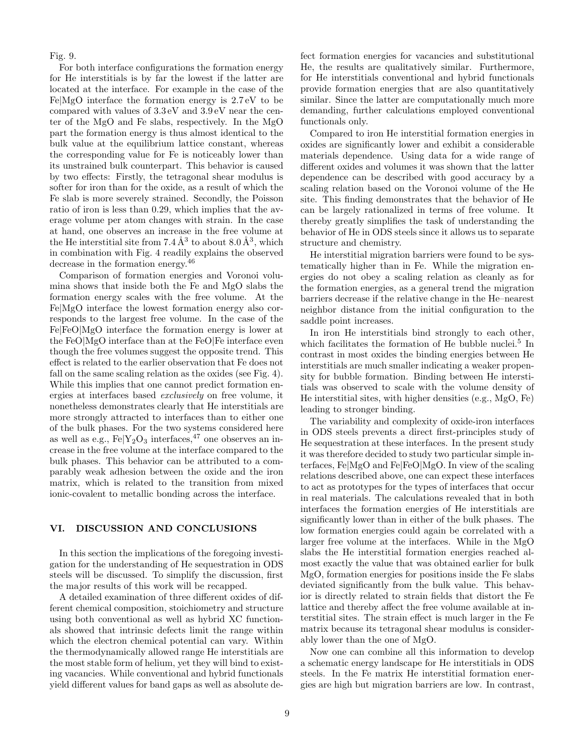Fig. 9.

For both interface configurations the formation energy for He interstitials is by far the lowest if the latter are located at the interface. For example in the case of the Fe|MgO interface the formation energy is 2.7 eV to be compared with values of 3.3 eV and 3.9 eV near the center of the MgO and Fe slabs, respectively. In the MgO part the formation energy is thus almost identical to the bulk value at the equilibrium lattice constant, whereas the corresponding value for Fe is noticeably lower than its unstrained bulk counterpart. This behavior is caused by two effects: Firstly, the tetragonal shear modulus is softer for iron than for the oxide, as a result of which the Fe slab is more severely strained. Secondly, the Poisson ratio of iron is less than 0.29, which implies that the average volume per atom changes with strain. In the case at hand, one observes an increase in the free volume at the He interstitial site from  $7.4 \, \AA^3$  to about  $8.0 \, \AA^3$ , which in combination with Fig. 4 readily explains the observed decrease in the formation energy.<sup>46</sup>

Comparison of formation energies and Voronoi volumina shows that inside both the Fe and MgO slabs the formation energy scales with the free volume. At the Fe|MgO interface the lowest formation energy also corresponds to the largest free volume. In the case of the Fe|FeO|MgO interface the formation energy is lower at the FeO|MgO interface than at the FeO|Fe interface even though the free volumes suggest the opposite trend. This effect is related to the earlier observation that Fe does not fall on the same scaling relation as the oxides (see Fig. 4). While this implies that one cannot predict formation energies at interfaces based exclusively on free volume, it nonetheless demonstrates clearly that He interstitials are more strongly attracted to interfaces than to either one of the bulk phases. For the two systems considered here as well as e.g.,  $Fe|Y_2O_3$  interfaces,<sup>47</sup> one observes an increase in the free volume at the interface compared to the bulk phases. This behavior can be attributed to a comparably weak adhesion between the oxide and the iron matrix, which is related to the transition from mixed ionic-covalent to metallic bonding across the interface.

# VI. DISCUSSION AND CONCLUSIONS

In this section the implications of the foregoing investigation for the understanding of He sequestration in ODS steels will be discussed. To simplify the discussion, first the major results of this work will be recapped.

A detailed examination of three different oxides of different chemical composition, stoichiometry and structure using both conventional as well as hybrid XC functionals showed that intrinsic defects limit the range within which the electron chemical potential can vary. Within the thermodynamically allowed range He interstitials are the most stable form of helium, yet they will bind to existing vacancies. While conventional and hybrid functionals yield different values for band gaps as well as absolute defect formation energies for vacancies and substitutional He, the results are qualitatively similar. Furthermore, for He interstitials conventional and hybrid functionals provide formation energies that are also quantitatively similar. Since the latter are computationally much more demanding, further calculations employed conventional functionals only.

Compared to iron He interstitial formation energies in oxides are significantly lower and exhibit a considerable materials dependence. Using data for a wide range of different oxides and volumes it was shown that the latter dependence can be described with good accuracy by a scaling relation based on the Voronoi volume of the He site. This finding demonstrates that the behavior of He can be largely rationalized in terms of free volume. It thereby greatly simplifies the task of understanding the behavior of He in ODS steels since it allows us to separate structure and chemistry.

He interstitial migration barriers were found to be systematically higher than in Fe. While the migration energies do not obey a scaling relation as cleanly as for the formation energies, as a general trend the migration barriers decrease if the relative change in the He–nearest neighbor distance from the initial configuration to the saddle point increases.

In iron He interstitials bind strongly to each other, which facilitates the formation of He bubble nuclei.<sup>5</sup> In contrast in most oxides the binding energies between He interstitials are much smaller indicating a weaker propensity for bubble formation. Binding between He interstitials was observed to scale with the volume density of He interstitial sites, with higher densities (e.g., MgO, Fe) leading to stronger binding.

The variability and complexity of oxide-iron interfaces in ODS steels prevents a direct first-principles study of He sequestration at these interfaces. In the present study it was therefore decided to study two particular simple interfaces, Fe|MgO and Fe|FeO|MgO. In view of the scaling relations described above, one can expect these interfaces to act as prototypes for the types of interfaces that occur in real materials. The calculations revealed that in both interfaces the formation energies of He interstitials are significantly lower than in either of the bulk phases. The low formation energies could again be correlated with a larger free volume at the interfaces. While in the MgO slabs the He interstitial formation energies reached almost exactly the value that was obtained earlier for bulk MgO, formation energies for positions inside the Fe slabs deviated significantly from the bulk value. This behavior is directly related to strain fields that distort the Fe lattice and thereby affect the free volume available at interstitial sites. The strain effect is much larger in the Fe matrix because its tetragonal shear modulus is considerably lower than the one of MgO.

Now one can combine all this information to develop a schematic energy landscape for He interstitials in ODS steels. In the Fe matrix He interstitial formation energies are high but migration barriers are low. In contrast,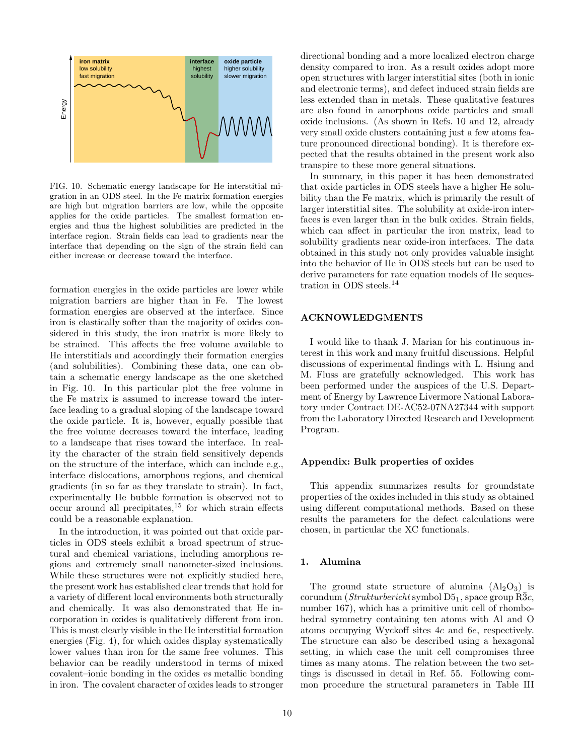

FIG. 10. Schematic energy landscape for He interstitial migration in an ODS steel. In the Fe matrix formation energies are high but migration barriers are low, while the opposite applies for the oxide particles. The smallest formation energies and thus the highest solubilities are predicted in the interface region. Strain fields can lead to gradients near the interface that depending on the sign of the strain field can either increase or decrease toward the interface.

formation energies in the oxide particles are lower while migration barriers are higher than in Fe. The lowest formation energies are observed at the interface. Since iron is elastically softer than the majority of oxides considered in this study, the iron matrix is more likely to be strained. This affects the free volume available to He interstitials and accordingly their formation energies (and solubilities). Combining these data, one can obtain a schematic energy landscape as the one sketched in Fig. 10. In this particular plot the free volume in the Fe matrix is assumed to increase toward the interface leading to a gradual sloping of the landscape toward the oxide particle. It is, however, equally possible that the free volume decreases toward the interface, leading to a landscape that rises toward the interface. In reality the character of the strain field sensitively depends on the structure of the interface, which can include e.g., interface dislocations, amorphous regions, and chemical gradients (in so far as they translate to strain). In fact, experimentally He bubble formation is observed not to  $\alpha$  occur around all precipitates,<sup>15</sup> for which strain effects could be a reasonable explanation.

In the introduction, it was pointed out that oxide particles in ODS steels exhibit a broad spectrum of structural and chemical variations, including amorphous regions and extremely small nanometer-sized inclusions. While these structures were not explicitly studied here, the present work has established clear trends that hold for a variety of different local environments both structurally and chemically. It was also demonstrated that He incorporation in oxides is qualitatively different from iron. This is most clearly visible in the He interstitial formation energies (Fig. 4), for which oxides display systematically lower values than iron for the same free volumes. This behavior can be readily understood in terms of mixed covalent–ionic bonding in the oxides vs metallic bonding in iron. The covalent character of oxides leads to stronger directional bonding and a more localized electron charge density compared to iron. As a result oxides adopt more open structures with larger interstitial sites (both in ionic and electronic terms), and defect induced strain fields are less extended than in metals. These qualitative features are also found in amorphous oxide particles and small oxide inclusions. (As shown in Refs. 10 and 12, already very small oxide clusters containing just a few atoms feature pronounced directional bonding). It is therefore expected that the results obtained in the present work also transpire to these more general situations.

In summary, in this paper it has been demonstrated that oxide particles in ODS steels have a higher He solubility than the Fe matrix, which is primarily the result of larger interstitial sites. The solubility at oxide-iron interfaces is even larger than in the bulk oxides. Strain fields, which can affect in particular the iron matrix, lead to solubility gradients near oxide-iron interfaces. The data obtained in this study not only provides valuable insight into the behavior of He in ODS steels but can be used to derive parameters for rate equation models of He sequestration in ODS steels.<sup>14</sup>

# ACKNOWLEDGMENTS

I would like to thank J. Marian for his continuous interest in this work and many fruitful discussions. Helpful discussions of experimental findings with L. Hsiung and M. Fluss are gratefully acknowledged. This work has been performed under the auspices of the U.S. Department of Energy by Lawrence Livermore National Laboratory under Contract DE-AC52-07NA27344 with support from the Laboratory Directed Research and Development Program.

# Appendix: Bulk properties of oxides

This appendix summarizes results for groundstate properties of the oxides included in this study as obtained using different computational methods. Based on these results the parameters for the defect calculations were chosen, in particular the XC functionals.

# 1. Alumina

The ground state structure of alumina  $(Al_2O_3)$  is corundum (Strukturbericht symbol  $D5_1$ , space group R3c, number 167), which has a primitive unit cell of rhombohedral symmetry containing ten atoms with Al and O atoms occupying Wyckoff sites 4c and 6e, respectively. The structure can also be described using a hexagonal setting, in which case the unit cell compromises three times as many atoms. The relation between the two settings is discussed in detail in Ref. 55. Following common procedure the structural parameters in Table III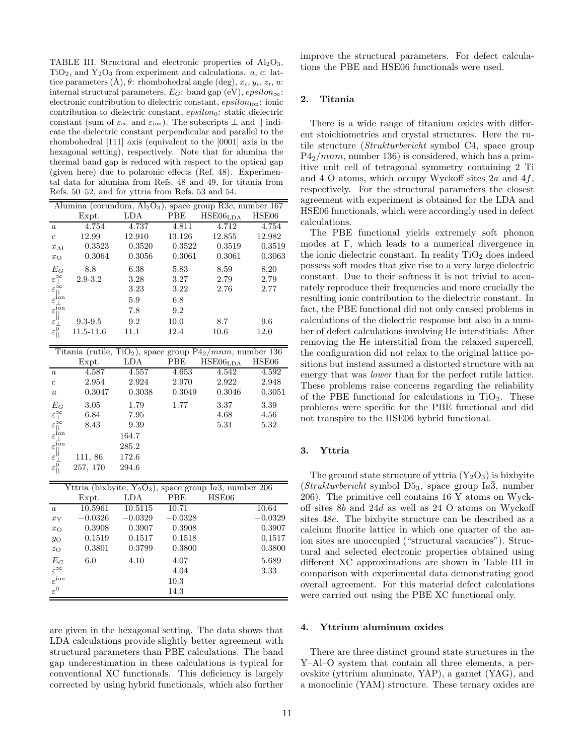TABLE III. Structural and electronic properties of  $Al_2O_3$ ,  $TiO<sub>2</sub>$ , and  $Y<sub>2</sub>O<sub>3</sub>$  from experiment and calculations. a, c: lattice parameters  $(\mathring{A}), \theta$ : rhombohedral angle (deg),  $x_i, y_i, z_i, u$ : internal structural parameters,  $E_G$ : band gap (eV),  $epsilon$  $\infty$ : electronic contribution to dielectric constant,  $epsilon$ ,  $epsilon$  ionic contribution to dielectric constant,  $epsilon_0$ : static dielectric constant (sum of  $\varepsilon_{\infty}$  and  $\varepsilon_{\text{ion}}$ ). The subscripts  $\perp$  and  $||$  indicate the dielectric constant perpendicular and parallel to the rhombohedral [111] axis (equivalent to the [0001] axis in the hexagonal setting), respectively. Note that for alumina the thermal band gap is reduced with respect to the optical gap (given here) due to polaronic effects (Ref. 48). Experimental data for alumina from Refs. 48 and 49, for titania from Refs. 50–52, and for yttria from Refs. 53 and 54.

| Alumina (corundum, $Al_2O_3$ ), space group $R\overline{3}c$ , number 167                                                                                                          |             |        |            |                      |        |
|------------------------------------------------------------------------------------------------------------------------------------------------------------------------------------|-------------|--------|------------|----------------------|--------|
|                                                                                                                                                                                    | Expt.       | LDA    | <b>PBE</b> | HSE06 <sub>LDA</sub> | HSE06  |
| $\boldsymbol{a}$                                                                                                                                                                   | 4.754       | 4.737  | 4.811      | 4.712                | 4.754  |
| $\overline{c}$                                                                                                                                                                     | 12.99       | 12.910 | 13.126     | 12.855               | 12.982 |
| $x_{\text{Al}}$                                                                                                                                                                    | 0.3523      | 0.3520 | 0.3522     | 0.3519               | 0.3519 |
| $x_{\rm O}$                                                                                                                                                                        | 0.3064      | 0.3056 | 0.3061     | 0.3061               | 0.3063 |
| $E_G$                                                                                                                                                                              | 8.8         | 6.38   | 5.83       | 8.59                 | 8.20   |
|                                                                                                                                                                                    | $2.9 - 3.2$ | 3.28   | 3.27       | 2.79                 | 2.79   |
| $\begin{array}{c} \varepsilon\mathop{\otimes}\limits_{-\infty}^{\infty} \\ \varepsilon\mathop{\otimes}\limits_{ ]} \end{array}$                                                    |             | 3.23   | 3.22       | 2.76                 | 2.77   |
|                                                                                                                                                                                    |             | 5.9    | 6.8        |                      |        |
|                                                                                                                                                                                    |             | 7.8    | 9.2        |                      |        |
|                                                                                                                                                                                    | $9.3 - 9.5$ | 9.2    | 10.0       | 8.7                  | 9.6    |
| $\begin{array}{c}\n\varepsilon_{\perp}^{\text{ion}}\\ \varepsilon_{\parallel}^{\text{ion}}\\ \varepsilon_{\parallel}^{\text{0}}\\ \varepsilon_{\parallel}^{\text{0}}\n\end{array}$ | 11.5-11.6   | 11.1   | 12.4       | 10.6                 | 12.0   |

|                                                                                                                                                     |          |        |        | Titania (rutile, TiO <sub>2</sub> ), space group $P4_2/mnm$ , number 136 |        |
|-----------------------------------------------------------------------------------------------------------------------------------------------------|----------|--------|--------|--------------------------------------------------------------------------|--------|
|                                                                                                                                                     | Expt.    | LDA    | PBE    | HSE06 <sub>LDA</sub>                                                     | HSE06  |
| $\boldsymbol{a}$                                                                                                                                    | 4.587    | 4.557  | 4.653  | 4.542                                                                    | 4.592  |
| $\mathfrak{c}$                                                                                                                                      | 2.954    | 2.924  | 2.970  | 2.922                                                                    | 2.948  |
| $\boldsymbol{u}$                                                                                                                                    | 0.3047   | 0.3038 | 0.3049 | 0.3046                                                                   | 0.3051 |
| $E_G$                                                                                                                                               | 3.05     | 1.79   | 1.77   | 3.37                                                                     | 3.39   |
|                                                                                                                                                     | 6.84     | 7.95   |        | 4.68                                                                     | 4.56   |
| $\begin{matrix} \varepsilon_{\perp}^{\infty} \\ \varepsilon_{\parallel}^{\infty} \end{matrix}$                                                      | 8.43     | 9.39   |        | 5.31                                                                     | 5.32   |
| $\varepsilon_{\perp}^{\rm ion}$                                                                                                                     |          | 164.7  |        |                                                                          |        |
|                                                                                                                                                     |          | 285.2  |        |                                                                          |        |
|                                                                                                                                                     | 111, 86  | 172.6  |        |                                                                          |        |
| $\begin{array}{c}\n\varepsilon_{\text{ion}}^{\text{ion}}\\ \varepsilon_{\text{ol}}^{\text{on}}\\ \varepsilon_{\text{ol}}^{\text{off}}\n\end{array}$ | 257, 170 | 294.6  |        |                                                                          |        |

|                         |           |           |           | Yttria (bixbyite, $Y_2O_3$ ), space group Ia3, number 206 |
|-------------------------|-----------|-----------|-----------|-----------------------------------------------------------|
|                         | Expt.     | LDA       | PBE       | HSE06                                                     |
| $\boldsymbol{a}$        | 10.5961   | 10.5115   | 10.71     | 10.64                                                     |
| $x_Y$                   | $-0.0326$ | $-0.0329$ | $-0.0328$ | $-0.0329$                                                 |
| $x_{\rm O}$             | 0.3908    | 0.3907    | 0.3908    | 0.3907                                                    |
| $y_{\rm O}$             | 0.1519    | 0.1517    | 0.1518    | 0.1517                                                    |
| $z_{\rm O}$             | 0.3801    | 0.3799    | 0.3800    | 0.3800                                                    |
| $E_G$                   | 6.0       | 4.10      | 4.07      | 5.689                                                     |
| $\varepsilon^{\infty}$  |           |           | 4.04      | 3.33                                                      |
| $\varepsilon^{\rm ion}$ |           |           | 10.3      |                                                           |
| $\varepsilon^0$         |           |           | 14.3      |                                                           |

are given in the hexagonal setting. The data shows that LDA calculations provide slightly better agreement with structural parameters than PBE calculations. The band gap underestimation in these calculations is typical for conventional XC functionals. This deficiency is largely corrected by using hybrid functionals, which also further improve the structural parameters. For defect calculations the PBE and HSE06 functionals were used.

# 2. Titania

There is a wide range of titanium oxides with different stoichiometries and crystal structures. Here the rutile structure (Strukturbericht symbol C4, space group  $P4<sub>2</sub>/mm$ , number 136) is considered, which has a primitive unit cell of tetragonal symmetry containing 2 Ti and 4 O atoms, which occupy Wyckoff sites  $2a$  and  $4f$ , respectively. For the structural parameters the closest agreement with experiment is obtained for the LDA and HSE06 functionals, which were accordingly used in defect calculations.

The PBE functional yields extremely soft phonon modes at Γ, which leads to a numerical divergence in the ionic dielectric constant. In reality  $TiO<sub>2</sub>$  does indeed possess soft modes that give rise to a very large dielectric constant. Due to their softness it is not trivial to accurately reproduce their frequencies and more crucially the resulting ionic contribution to the dielectric constant. In fact, the PBE functional did not only caused problems in calculations of the dielectric response but also in a number of defect calculations involving He interstitials: After removing the He interstitial from the relaxed supercell, the configuration did not relax to the original lattice positions but instead assumed a distorted structure with an energy that was *lower* than for the perfect rutile lattice. These problems raise concerns regarding the reliability of the PBE functional for calculations in  $TiO<sub>2</sub>$ . These problems were specific for the PBE functional and did not transpire to the HSE06 hybrid functional.

## 3. Yttria

The ground state structure of yttria  $(Y_2O_3)$  is bixbyite  $(Strukturebericht$  symbol D5<sub>3</sub>, space group Ia $\bar{3}$ , number 206). The primitive cell contains 16 Y atoms on Wyckoff sites 8b and 24d as well as 24 O atoms on Wyckoff sites 48e. The bixbyite structure can be described as a calcium fluorite lattice in which one quarter of the anion sites are unoccupied ("structural vacancies"). Structural and selected electronic properties obtained using different XC approximations are shown in Table III in comparison with experimental data demonstrating good overall agreement. For this material defect calculations were carried out using the PBE XC functional only.

## 4. Yttrium aluminum oxides

There are three distinct ground state structures in the Y–Al–O system that contain all three elements, a perovskite (yttrium aluminate, YAP), a garnet (YAG), and a monoclinic (YAM) structure. These ternary oxides are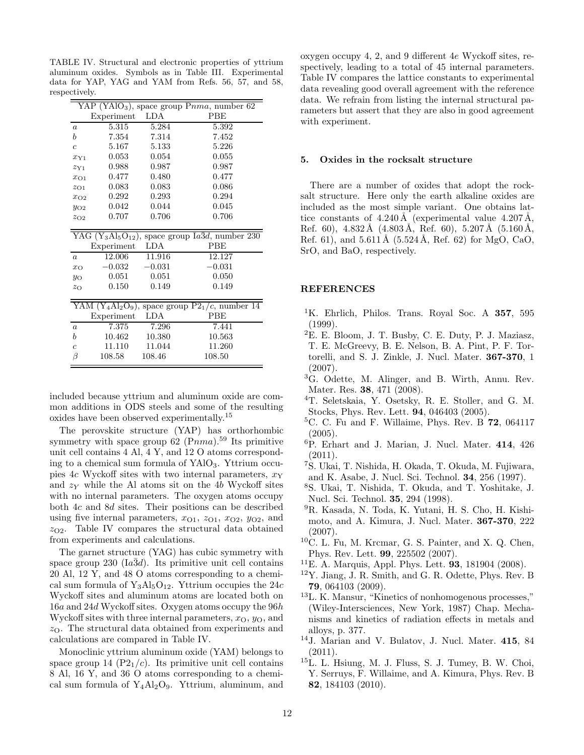TABLE IV. Structural and electronic properties of yttrium aluminum oxides. Symbols as in Table III. Experimental data for YAP, YAG and YAM from Refs. 56, 57, and 58, respectively.

|                |            |          | $YAP (YAlO3)$ , space group $Pnma$ , number 62                                                    |
|----------------|------------|----------|---------------------------------------------------------------------------------------------------|
|                | Experiment | LDA      | <b>PBE</b>                                                                                        |
| $\overline{a}$ | 5.315      | 5.284    | 5.392                                                                                             |
| b              | 7.354      | 7.314    | 7.452                                                                                             |
| $\overline{c}$ | 5.167      | 5.133    | 5.226                                                                                             |
| $x_{Y1}$       | 0.053      | 0.054    | 0.055                                                                                             |
| 2Y1            | 0.988      | 0.987    | 0.987                                                                                             |
| $x_{O1}$       | 0.477      | 0.480    | 0.477                                                                                             |
| $z_{O1}$       | 0.083      | 0.083    | 0.086                                                                                             |
| $x_{\rm O2}$   | 0.292      | 0.293    | 0.294                                                                                             |
| $y_{O2}$       | $0.042\,$  | 0.044    | 0.045                                                                                             |
| $z_{\rm O2}$   | 0.707      | 0.706    | 0.706                                                                                             |
|                |            |          |                                                                                                   |
|                |            |          | YAG (Y <sub>3</sub> Al <sub>5</sub> O <sub>12</sub> ), space group $Ia\overline{3}d$ , number 230 |
|                | Experiment | LDA      | <b>PBE</b>                                                                                        |
| $\overline{a}$ | 12.006     | 11.916   | 12.127                                                                                            |
| $x_{\Omega}$   | $-0.032$   | $-0.031$ | $-0.031$                                                                                          |
| $y_{\rm O}$    | 0.051      | 0.051    | 0.050                                                                                             |
| $z_{\rm O}$    | 0.150      | 0.149    | 0.149                                                                                             |
|                |            |          |                                                                                                   |
|                |            |          | YAM $(Y_4A1_2O_9)$ , space group $P2_1/c$ , number 14                                             |
|                | Experiment | LDA      | <b>PBE</b>                                                                                        |
| $\alpha$       | 7.375      | 7.296    | 7.441                                                                                             |
| b              | 10.462     | 10.380   | 10.563                                                                                            |
| $\overline{c}$ | 11.110     | 11.044   | 11.260                                                                                            |
| β              | 108.58     | 108.46   | 108.50                                                                                            |

included because yttrium and aluminum oxide are common additions in ODS steels and some of the resulting oxides have been observed experimentally.<sup>15</sup>

The perovskite structure (YAP) has orthorhombic symmetry with space group  $62$  (Pnma).<sup>59</sup> Its primitive unit cell contains 4 Al, 4 Y, and 12 O atoms corresponding to a chemical sum formula of YAlO3. Yttrium occupies 4c Wyckoff sites with two internal parameters,  $x<sub>Y</sub>$ and  $z<sub>Y</sub>$  while the Al atoms sit on the 4b Wyckoff sites with no internal parameters. The oxygen atoms occupy both 4c and 8d sites. Their positions can be described using five internal parameters,  $x_{O1}$ ,  $z_{O1}$ ,  $x_{O2}$ ,  $y_{O2}$ , and  $z_{\text{O2}}$ . Table IV compares the structural data obtained from experiments and calculations.

The garnet structure (YAG) has cubic symmetry with space group  $230 \text{ (Ia3d)}$ . Its primitive unit cell contains 20 Al, 12 Y, and 48 O atoms corresponding to a chemical sum formula of  $Y_3Al_5O_{12}$ . Yttrium occupies the 24c Wyckoff sites and aluminum atoms are located both on 16a and 24d Wyckoff sites. Oxygen atoms occupy the 96h Wyckoff sites with three internal parameters,  $x<sub>O</sub>$ ,  $y<sub>O</sub>$ , and  $z<sub>O</sub>$ . The structural data obtained from experiments and calculations are compared in Table IV.

Monoclinic yttrium aluminum oxide (YAM) belongs to space group 14  $(P2<sub>1</sub>/c)$ . Its primitive unit cell contains 8 Al, 16 Y, and 36 O atoms corresponding to a chemical sum formula of  $Y_4Al_2O_9$ . Yttrium, aluminum, and oxygen occupy 4, 2, and 9 different 4e Wyckoff sites, respectively, leading to a total of 45 internal parameters. Table IV compares the lattice constants to experimental data revealing good overall agreement with the reference data. We refrain from listing the internal structural parameters but assert that they are also in good agreement with experiment.

#### 5. Oxides in the rocksalt structure

There are a number of oxides that adopt the rocksalt structure. Here only the earth alkaline oxides are included as the most simple variant. One obtains lattice constants of  $4.240 \text{\AA}$  (experimental value  $4.207 \text{\AA}$ , Ref. 60),  $4.832 \text{ Å}$  ( $4.803 \text{ Å}$ , Ref. 60),  $5.207 \text{ Å}$  ( $5.160 \text{ Å}$ , Ref. 61), and  $5.611 \text{\AA}$  (5.524 Å, Ref. 62) for MgO, CaO, SrO, and BaO, respectively.

# **REFERENCES**

- <sup>1</sup>K. Ehrlich, Philos. Trans. Royal Soc. A 357, 595 (1999).
- <sup>2</sup>E. E. Bloom, J. T. Busby, C. E. Duty, P. J. Maziasz, T. E. McGreevy, B. E. Nelson, B. A. Pint, P. F. Tortorelli, and S. J. Zinkle, J. Nucl. Mater. 367-370, 1 (2007).
- <sup>3</sup>G. Odette, M. Alinger, and B. Wirth, Annu. Rev. Mater. Res. 38, 471 (2008).
- <sup>4</sup>T. Seletskaia, Y. Osetsky, R. E. Stoller, and G. M. Stocks, Phys. Rev. Lett. 94, 046403 (2005).
- ${}^5C.$  C. Fu and F. Willaime, Phys. Rev. B 72, 064117 (2005).
- <sup>6</sup>P. Erhart and J. Marian, J. Nucl. Mater. 414, 426 (2011).
- <sup>7</sup>S. Ukai, T. Nishida, H. Okada, T. Okuda, M. Fujiwara, and K. Asabe, J. Nucl. Sci. Technol. 34, 256 (1997).
- <sup>8</sup>S. Ukai, T. Nishida, T. Okuda, and T. Yoshitake, J. Nucl. Sci. Technol. 35, 294 (1998).
- <sup>9</sup>R. Kasada, N. Toda, K. Yutani, H. S. Cho, H. Kishimoto, and A. Kimura, J. Nucl. Mater. 367-370, 222 (2007).
- $10C$ . L. Fu, M. Krcmar, G. S. Painter, and X. Q. Chen, Phys. Rev. Lett. 99, 225502 (2007).
- <sup>11</sup>E. A. Marquis, Appl. Phys. Lett. 93, 181904 (2008).
- $12$ Y. Jiang, J. R. Smith, and G. R. Odette, Phys. Rev. B 79, 064103 (2009).
- <sup>13</sup>L. K. Mansur, "Kinetics of nonhomogenous processes," (Wiley-Intersciences, New York, 1987) Chap. Mechanisms and kinetics of radiation effects in metals and alloys, p. 377.
- <sup>14</sup>J. Marian and V. Bulatov, J. Nucl. Mater. 415, 84  $(2011).$
- <sup>15</sup>L. L. Hsiung, M. J. Fluss, S. J. Tumey, B. W. Choi, Y. Serruys, F. Willaime, and A. Kimura, Phys. Rev. B 82, 184103 (2010).